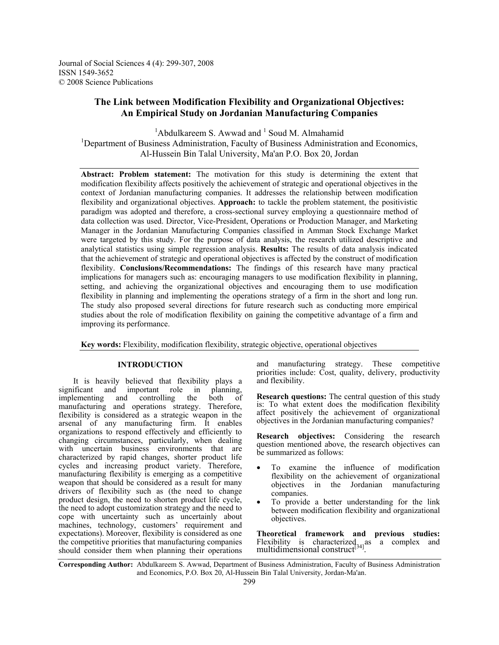Journal of Social Sciences 4 (4): 299-307, 2008 ISSN 1549-3652 © 2008 Science Publications

# **The Link between Modification Flexibility and Organizational Objectives: An Empirical Study on Jordanian Manufacturing Companies**

 $1$ Abdulkareem S. Awwad and  $1$  Soud M. Almahamid <sup>1</sup>Department of Business Administration, Faculty of Business Administration and Economics, Al-Hussein Bin Talal University, Ma'an P.O. Box 20, Jordan

**Abstract: Problem statement:** The motivation for this study is determining the extent that modification flexibility affects positively the achievement of strategic and operational objectives in the context of Jordanian manufacturing companies. It addresses the relationship between modification flexibility and organizational objectives. **Approach:** to tackle the problem statement, the positivistic paradigm was adopted and therefore, a cross-sectional survey employing a questionnaire method of data collection was used. Director, Vice-President, Operations or Production Manager, and Marketing Manager in the Jordanian Manufacturing Companies classified in Amman Stock Exchange Market were targeted by this study. For the purpose of data analysis, the research utilized descriptive and analytical statistics using simple regression analysis. **Results:** The results of data analysis indicated that the achievement of strategic and operational objectives is affected by the construct of modification flexibility. **Conclusions/Recommendations:** The findings of this research have many practical implications for managers such as: encouraging managers to use modification flexibility in planning, setting, and achieving the organizational objectives and encouraging them to use modification flexibility in planning and implementing the operations strategy of a firm in the short and long run. The study also proposed several directions for future research such as conducting more empirical studies about the role of modification flexibility on gaining the competitive advantage of a firm and improving its performance.

**Key words:** Flexibility, modification flexibility, strategic objective, operational objectives

# **INTRODUCTION**

It is heavily believed that flexibility plays a significant and important role in planning. important role in planning,<br>nd controlling the both of implementing and controlling the both of manufacturing and operations strategy. Therefore, flexibility is considered as a strategic weapon in the arsenal of any manufacturing firm. It enables organizations to respond effectively and efficiently to changing circumstances, particularly, when dealing with uncertain business environments that are characterized by rapid changes, shorter product life cycles and increasing product variety. Therefore, manufacturing flexibility is emerging as a competitive weapon that should be considered as a result for many drivers of flexibility such as (the need to change product design, the need to shorten product life cycle, the need to adopt customization strategy and the need to cope with uncertainty such as uncertainly about machines, technology, customers' requirement and expectations). Moreover, flexibility is considered as one the competitive priorities that manufacturing companies should consider them when planning their operations

and manufacturing strategy. These competitive priorities include: Cost, quality, delivery, productivity and flexibility.

**Research questions:** The central question of this study is: To what extent does the modification flexibility affect positively the achievement of organizational objectives in the Jordanian manufacturing companies?

**Research objectives:** Considering the research question mentioned above, the research objectives can be summarized as follows:

- To examine the influence of modification flexibility on the achievement of organizational objectives in the Jordanian manufacturing companies.
- To provide a better understanding for the link between modification flexibility and organizational objectives.

**Theoretical framework and previous studies:**  Flexibility is characterized as a complex and multidimensional construct<sup>[34]</sup>.

**Corresponding Author:** Abdulkareem S. Awwad, Department of Business Administration, Faculty of Business Administration and Economics, P.O. Box 20, Al-Hussein Bin Talal University, Jordan-Ma'an.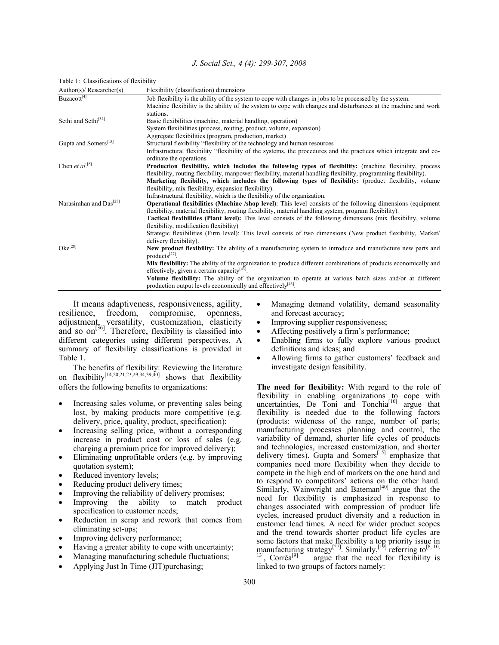| J. Social Sci., 4 (4): 299-307, 2008 |  |
|--------------------------------------|--|
|--------------------------------------|--|

| Author(s)/ $Researcher(s)$         | Flexibility (classification) dimensions                                                                               |
|------------------------------------|-----------------------------------------------------------------------------------------------------------------------|
| Buzacott <sup>[4]</sup>            | Job flexibility is the ability of the system to cope with changes in jobs to be processed by the system.              |
|                                    | Machine flexibility is the ability of the system to cope with changes and disturbances at the machine and work        |
|                                    | stations.                                                                                                             |
| Sethi and Sethi <sup>[34]</sup>    | Basic flexibilities (machine, material handling, operation)                                                           |
|                                    | System flexibilities (process, routing, product, volume, expansion)                                                   |
|                                    | Aggregate flexibilities (program, production, market)                                                                 |
| Gupta and Somers <sup>[15]</sup>   | Structural flexibility "flexibility of the technology and human resources                                             |
|                                    | Infrastructural flexibility "flexibility of the systems, the procedures and the practices which integrate and co-     |
|                                    | ordinate the operations                                                                                               |
| Chen et al. <sup>[8]</sup>         | Production flexibility, which includes the following types of flexibility: (machine flexibility, process              |
|                                    | flexibility, routing flexibility, manpower flexibility, material handling flexibility, programming flexibility).      |
|                                    | Marketing flexibility, which includes the following types of flexibility: (product flexibility, volume                |
|                                    | flexibility, mix flexibility, expansion flexibility).                                                                 |
|                                    | Infrastructural flexibility, which is the flexibility of the organization.                                            |
| Narasimhan and Das <sup>[25]</sup> | <b>Operational flexibilities (Machine /shop level)</b> : This level consists of the following dimensions (equipment   |
|                                    | flexibility, material flexibility, routing flexibility, material handling system, program flexibility).               |
|                                    | <b>Tactical flexibilities (Plant level):</b> This level consists of the following dimensions (mix flexibility, volume |
|                                    | flexibility, modification flexibility)                                                                                |
|                                    | Strategic flexibilities (Firm level): This level consists of two dimensions (New product flexibility, Market/         |
|                                    | delivery flexibility).                                                                                                |
| $Oke^{[28]}$                       | New product flexibility: The ability of a manufacturing system to introduce and manufacture new parts and             |
|                                    | products <sup>[27]</sup> .                                                                                            |
|                                    | Mix flexibility: The ability of the organization to produce different combinations of products economically and       |
|                                    | effectively, given a certain capacity $[43]$ .                                                                        |
|                                    | Volume flexibility: The ability of the organization to operate at various batch sizes and/or at different             |
|                                    | production output levels economically and effectively $[43]$ .                                                        |

Table 1: Classifications of flexibility

 It means adaptiveness, responsiveness, agility, resilience, freedom, compromise, openness, adjustment, versatility, customization, elasticity and so on<sup>[36]</sup>. Therefore, flexibility is classified into different categories using different perspectives. A summary of flexibility classifications is provided in Table 1.

 The benefits of flexibility: Reviewing the literature on flexibility<sup>[14,20,21,23,29,34,39,40]</sup> shows that flexibility offers the following benefits to organizations:

- Increasing sales volume, or preventing sales being lost, by making products more competitive (e.g. delivery, price, quality, product, specification);
- Increasing selling price, without a corresponding increase in product cost or loss of sales (e.g. charging a premium price for improved delivery);
- Eliminating unprofitable orders (e.g. by improving quotation system);
- Reduced inventory levels;
- Reducing product delivery times;
- Improving the reliability of delivery promises;
- Improving the ability to match product specification to customer needs;
- Reduction in scrap and rework that comes from eliminating set-ups;
- Improving delivery performance;
- Having a greater ability to cope with uncertainty;
- Managing manufacturing schedule fluctuations;
- Applying Just In Time (JIT)purchasing;
- Managing demand volatility, demand seasonality and forecast accuracy;
- Improving supplier responsiveness;
- Affecting positively a firm's performance;
- Enabling firms to fully explore various product definitions and ideas; and
- Allowing firms to gather customers' feedback and investigate design feasibility.

**The need for flexibility:** With regard to the role of flexibility in enabling organizations to cope with uncertainties,  $De$  Toni and Tonchia<sup>[10]</sup> argue that flexibility is needed due to the following factors (products: wideness of the range, number of parts; manufacturing processes planning and control, the variability of demand, shorter life cycles of products and technologies, increased customization, and shorter delivery times). Gupta and Somers<sup>[15]</sup> emphasize that companies need more flexibility when they decide to compete in the high end of markets on the one hand and to respond to competitors' actions on the other hand. Similarly, Wainwright and Bateman<sup>[40]</sup> argue that the need for flexibility is emphasized in response to changes associated with compression of product life cycles, increased product diversity and a reduction in customer lead times. A need for wider product scopes and the trend towards shorter product life cycles are some factors that make flexibility a top priority issue in manufacturing strategy<sup>[27]</sup>. Similarly,<sup>[19]</sup> referring to<sup>[8, 10, <sup>13]</sup>, Corrêa<sup>[9]</sup> argue that the need for flexibility is</sup> argue that the need for flexibility is linked to two groups of factors namely: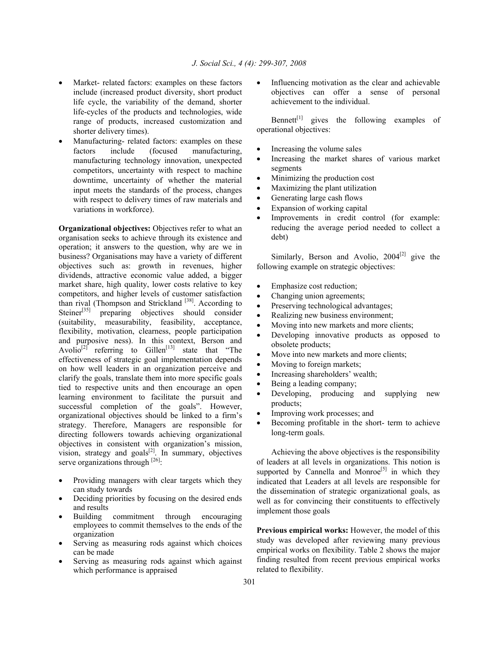- Market- related factors: examples on these factors include (increased product diversity, short product life cycle, the variability of the demand, shorter life-cycles of the products and technologies, wide range of products, increased customization and shorter delivery times).
- Manufacturing- related factors: examples on these factors include (focused manufacturing, manufacturing technology innovation, unexpected competitors, uncertainty with respect to machine downtime, uncertainty of whether the material input meets the standards of the process, changes with respect to delivery times of raw materials and variations in workforce).

**Organizational objectives:** Objectives refer to what an organisation seeks to achieve through its existence and operation; it answers to the question, why are we in business? Organisations may have a variety of different objectives such as: growth in revenues, higher dividends, attractive economic value added, a bigger market share, high quality, lower costs relative to key competitors, and higher levels of customer satisfaction than rival (Thompson and Strickland  $[38]$ . According to Steiner<sup>[35]</sup> preparing objectives should consider (suitability, measurability, feasibility, acceptance, flexibility, motivation, clearness, people participation and purposive ness). In this context, Berson and Avolio<sup>[2]</sup> referring to Gillen<sup>[13]</sup> state that "The effectiveness of strategic goal implementation depends on how well leaders in an organization perceive and clarify the goals, translate them into more specific goals tied to respective units and then encourage an open learning environment to facilitate the pursuit and successful completion of the goals". However, organizational objectives should be linked to a firm's strategy. Therefore, Managers are responsible for directing followers towards achieving organizational objectives in consistent with organization's mission, vision, strategy and goals $^{[2]}$ . In summary, objectives serve organizations through  $^{[26]}$ :

- Providing managers with clear targets which they can study towards
- Deciding priorities by focusing on the desired ends and results
- Building commitment through encouraging employees to commit themselves to the ends of the organization
- Serving as measuring rods against which choices can be made
- Serving as measuring rods against which against which performance is appraised

Influencing motivation as the clear and achievable objectives can offer a sense of personal achievement to the individual.

Bennett $[t]$  gives the following examples of operational objectives:

- Increasing the volume sales
- Increasing the market shares of various market segments
- Minimizing the production cost
- Maximizing the plant utilization
- Generating large cash flows
- Expansion of working capital
- Improvements in credit control (for example: reducing the average period needed to collect a debt)

Similarly, Berson and Avolio,  $2004^{[2]}$  give the following example on strategic objectives:

- Emphasize cost reduction;
- Changing union agreements;
- Preserving technological advantages;
- Realizing new business environment;
- Moving into new markets and more clients;
- Developing innovative products as opposed to obsolete products;
- Move into new markets and more clients;
- Moving to foreign markets;
- Increasing shareholders' wealth;
- Being a leading company;
- Developing, producing and supplying new products;
- Improving work processes; and
- Becoming profitable in the short- term to achieve long-term goals.

Achieving the above objectives is the responsibility of leaders at all levels in organizations. This notion is supported by Cannella and Monroe<sup>[5]</sup> in which they indicated that Leaders at all levels are responsible for the dissemination of strategic organizational goals, as well as for convincing their constituents to effectively implement those goals

**Previous empirical works:** However, the model of this study was developed after reviewing many previous empirical works on flexibility. Table 2 shows the major finding resulted from recent previous empirical works related to flexibility.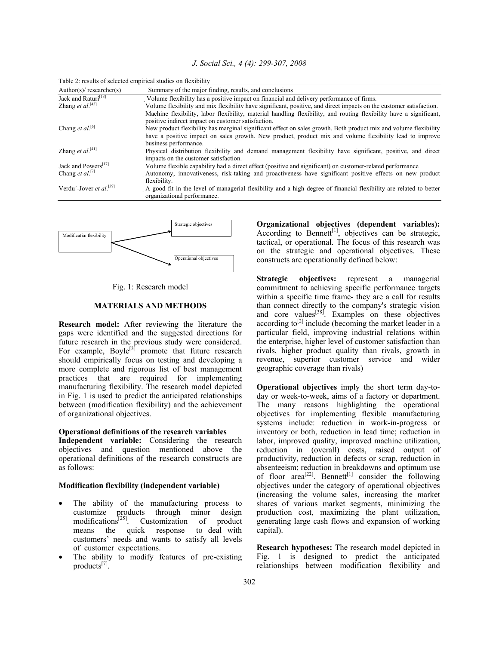| J. Social Sci., 4 (4): 299-307, 2008 |  |
|--------------------------------------|--|
|--------------------------------------|--|

| Author(s)/ researcher(s)            | Summary of the major finding, results, and conclusions                                                                                                                                                                      |
|-------------------------------------|-----------------------------------------------------------------------------------------------------------------------------------------------------------------------------------------------------------------------------|
| Jack and Raturi <sup>[18]</sup>     | Volume flexibility has a positive impact on financial and delivery performance of firms.                                                                                                                                    |
| Zhang et $al.^{[43]}$               | Volume flexibility and mix flexibility have significant, positive, and direct impacts on the customer satisfaction.                                                                                                         |
|                                     | Machine flexibility, labor flexibility, material handling flexibility, and routing flexibility have a significant,<br>positive indirect impact on customer satisfaction.                                                    |
| Chang et al. <sup>[6]</sup>         | New product flexibility has marginal significant effect on sales growth. Both product mix and volume flexibility<br>have a positive impact on sales growth. New product, product mix and volume flexibility lead to improve |
|                                     | business performance.                                                                                                                                                                                                       |
| Zhang et al. <sup>[41]</sup>        | Physical distribution flexibility and demand management flexibility have significant, positive, and direct<br>impacts on the customer satisfaction.                                                                         |
| Jack and Powers <sup>[17]</sup>     | Volume flexible capability had a direct effect (positive and significant) on customer-related performance                                                                                                                   |
| Chang et al. <sup>[7]</sup>         | Autonomy, innovativeness, risk-taking and proactiveness have significant positive effects on new product<br>flexibility.                                                                                                    |
| Verdu'-Jover et al. <sup>[39]</sup> | A good fit in the level of managerial flexibility and a high degree of financial flexibility are related to better<br>organizational nerformance                                                                            |

Table 2: results of selected empirical studies on flexibility



Fig. 1: Research model

# **MATERIALS AND METHODS**

**Research model:** After reviewing the literature the gaps were identified and the suggested directions for future research in the previous study were considered. For example,  $Boyle^{[3]}$  promote that future research should empirically focus on testing and developing a more complete and rigorous list of best management practices that are required for implementing manufacturing flexibility. The research model depicted in Fig. 1 is used to predict the anticipated relationships between (modification flexibility) and the achievement of organizational objectives.

#### **Operational definitions of the research variables**

**Independent variable:** Considering the research objectives and question mentioned above the operational definitions of the research constructs are as follows:

## **Modification flexibility (independent variable)**

- The ability of the manufacturing process to customize products through minor design modifications[25]. Customization of product means the quick response to deal with customers' needs and wants to satisfy all levels of customer expectations.
- The ability to modify features of pre-existing products $^{[7]}$ .

**Organizational objectives (dependent variables):**  According to Bennett<sup>[1]</sup>, objectives can be strategic, tactical, or operational. The focus of this research was on the strategic and operational objectives. These constructs are operationally defined below:

**Strategic objectives:** represent a managerial commitment to achieving specific performance targets within a specific time frame- they are a call for results than connect directly to the company's strategic vision and core values<sup>[38]</sup>. Examples on these objectives according to<sup>[2]</sup> include (becoming the market leader in a particular field, improving industrial relations within the enterprise, higher level of customer satisfaction than rivals, higher product quality than rivals, growth in revenue, superior customer service and wider geographic coverage than rivals)

**Operational objectives** imply the short term day-today or week-to-week, aims of a factory or department. The many reasons highlighting the operational objectives for implementing flexible manufacturing systems include: reduction in work-in-progress or inventory or both, reduction in lead time; reduction in labor, improved quality, improved machine utilization, reduction in (overall) costs, raised output of productivity, reduction in defects or scrap, reduction in absenteeism; reduction in breakdowns and optimum use of floor  $area^{[22]}$ . Bennett<sup>[1]</sup> consider the following objectives under the category of operational objectives (increasing the volume sales, increasing the market shares of various market segments, minimizing the production cost, maximizing the plant utilization, generating large cash flows and expansion of working capital).

**Research hypotheses:** The research model depicted in Fig. 1 is designed to predict the anticipated relationships between modification flexibility and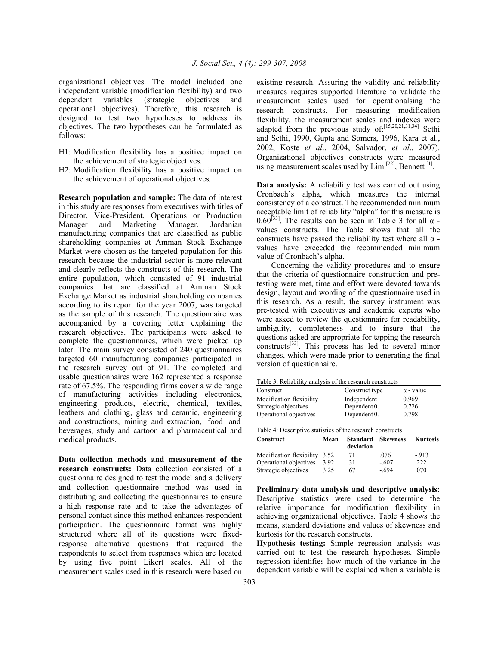organizational objectives. The model included one independent variable (modification flexibility) and two dependent variables (strategic objectives and operational objectives). Therefore, this research is designed to test two hypotheses to address its objectives. The two hypotheses can be formulated as follows:

- H1: Modification flexibility has a positive impact on the achievement of strategic objectives.
- H2: Modification flexibility has a positive impact on the achievement of operational objectives*.*

**Research population and sample:** The data of interest in this study are responses from executives with titles of Director, Vice-President, Operations or Production Manager and Marketing Manager. Jordanian manufacturing companies that are classified as public shareholding companies at Amman Stock Exchange Market were chosen as the targeted population for this research because the industrial sector is more relevant and clearly reflects the constructs of this research. The entire population, which consisted of 91 industrial companies that are classified at Amman Stock Exchange Market as industrial shareholding companies according to its report for the year 2007, was targeted as the sample of this research. The questionnaire was accompanied by a covering letter explaining the research objectives. The participants were asked to complete the questionnaires, which were picked up later. The main survey consisted of 240 questionnaires targeted 60 manufacturing companies participated in the research survey out of 91. The completed and usable questionnaires were 162 represented a response rate of 67.5%. The responding firms cover a wide range of manufacturing activities including electronics, engineering products, electric, chemical, textiles, leathers and clothing, glass and ceramic, engineering and constructions, mining and extraction, food and beverages, study and cartoon and pharmaceutical and medical products.

**Data collection methods and measurement of the research constructs:** Data collection consisted of a questionnaire designed to test the model and a delivery and collection questionnaire method was used in distributing and collecting the questionnaires to ensure a high response rate and to take the advantages of personal contact since this method enhances respondent participation. The questionnaire format was highly structured where all of its questions were fixedresponse alternative questions that required the respondents to select from responses which are located by using five point Likert scales. All of the measurement scales used in this research were based on

existing research. Assuring the validity and reliability measures requires supported literature to validate the measurement scales used for operationalsing the research constructs. For measuring modification flexibility, the measurement scales and indexes were adapted from the previous study of:[15,20,21,31,34] Sethi and Sethi, 1990, Gupta and Somers, 1996, Kara et al., 2002, Koste *et al*., 2004, Salvador, *et al*., 2007). Organizational objectives constructs were measured using measurement scales used by Lim<sup>[22]</sup>, Bennett<sup>[1]</sup>.

**Data analysis:** A reliability test was carried out using Cronbach's alpha, which measures the internal consistency of a construct. The recommended minimum acceptable limit of reliability "alpha" for this measure is 0.60<sup>[33]</sup>. The results can be seen in Table 3 for all  $\alpha$  values constructs. The Table shows that all the constructs have passed the reliability test where all  $\alpha$  values have exceeded the recommended minimum value of Cronbach's alpha.

 Concerning the validity procedures and to ensure that the criteria of questionnaire construction and pretesting were met, time and effort were devoted towards design, layout and wording of the questionnaire used in this research. As a result, the survey instrument was pre-tested with executives and academic experts who were asked to review the questionnaire for readability, ambiguity, completeness and to insure that the questions asked are appropriate for tapping the research constructs[33]. This process has led to several minor changes, which were made prior to generating the final version of questionnaire.

Table 3: Reliability analysis of the research constructs

| Table 3: Reliability analysis of the research constructs                                                                                 |      |                |         |                  |  |  |
|------------------------------------------------------------------------------------------------------------------------------------------|------|----------------|---------|------------------|--|--|
| Construct                                                                                                                                |      | Construct type |         | $\alpha$ - value |  |  |
| Modification flexibility                                                                                                                 |      | Independent    |         | 0.969            |  |  |
| Strategic objectives                                                                                                                     |      | Dependent 0.   |         | 0.726            |  |  |
| Operational objectives                                                                                                                   |      | Dependent 0.   |         | 0.798            |  |  |
| Table 4: Descriptive statistics of the research constructs<br><b>Kurtosis</b><br><b>Standard</b><br>Construct<br>Mean<br><b>Skewness</b> |      |                |         |                  |  |  |
|                                                                                                                                          |      |                |         |                  |  |  |
|                                                                                                                                          |      | deviation      |         |                  |  |  |
| Modification flexibility                                                                                                                 | 3.52 | .71            | .076    | $-913$           |  |  |
| Operational objectives                                                                                                                   | 3.92 | .31            | $-.607$ | .222             |  |  |

**Preliminary data analysis and descriptive analysis:** Descriptive statistics were used to determine the relative importance for modification flexibility in achieving organizational objectives. Table 4 shows the means, standard deviations and values of skewness and kurtosis for the research constructs.

**Hypothesis testing:** Simple regression analysis was carried out to test the research hypotheses. Simple regression identifies how much of the variance in the dependent variable will be explained when a variable is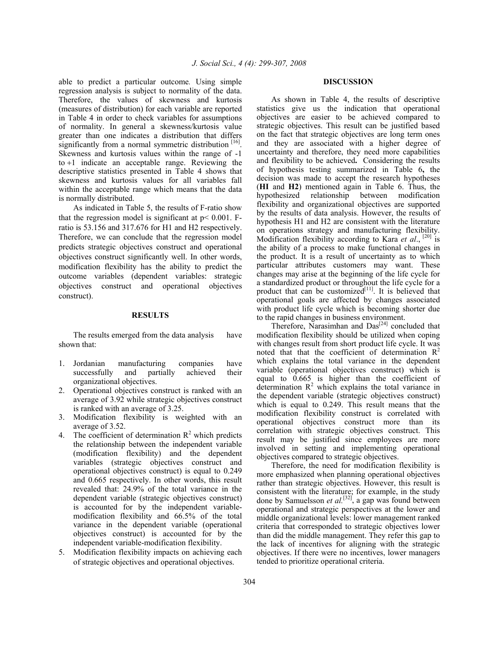able to predict a particular outcome*.* Using simple regression analysis is subject to normality of the data. Therefore, the values of skewness and kurtosis (measures of distribution) for each variable are reported in Table 4 in order to check variables for assumptions of normality. In general a skewness/kurtosis value greater than one indicates a distribution that differs significantly from a normal symmetric distribution  $[16]$ . Skewness and kurtosis values within the range of -1 to +1 indicate an acceptable range. Reviewing the descriptive statistics presented in Table 4 shows that skewness and kurtosis values for all variables fall within the acceptable range which means that the data is normally distributed.

 As indicated in Table 5, the results of F-ratio show that the regression model is significant at  $p < 0.001$ . Fratio is 53.156 and 317.676 for H1 and H2 respectively. Therefore, we can conclude that the regression model predicts strategic objectives construct and operational objectives construct significantly well. In other words, modification flexibility has the ability to predict the outcome variables (dependent variables: strategic objectives construct and operational objectives construct).

#### **RESULTS**

 The results emerged from the data analysis have shown that:

- 1. Jordanian manufacturing companies have successfully and partially achieved their organizational objectives.
- 2. Operational objectives construct is ranked with an average of 3.92 while strategic objectives construct is ranked with an average of 3.25.
- 3. Modification flexibility is weighted with an average of 3.52.
- 4. The coefficient of determination  $R^2$  which predicts the relationship between the independent variable (modification flexibility) and the dependent variables (strategic objectives construct and operational objectives construct) is equal to 0.249 and 0.665 respectively. In other words, this result revealed that: 24.9% of the total variance in the dependent variable (strategic objectives construct) is accounted for by the independent variablemodification flexibility and 66.5% of the total variance in the dependent variable (operational objectives construct) is accounted for by the independent variable-modification flexibility.
- 5. Modification flexibility impacts on achieving each of strategic objectives and operational objectives.

# **DISCUSSION**

 As shown in Table 4, the results of descriptive statistics give us the indication that operational objectives are easier to be achieved compared to strategic objectives. This result can be justified based on the fact that strategic objectives are long term ones and they are associated with a higher degree of uncertainty and therefore, they need more capabilities and flexibility to be achieved**.** Considering the results of hypothesis testing summarized in Table 6**,** the decision was made to accept the research hypotheses (**HI** and **H2**) mentioned again in Table 6. Thus, the hypothesized relationship between modification flexibility and organizational objectives are supported by the results of data analysis. However, the results of hypothesis H1 and H2 are consistent with the literature on operations strategy and manufacturing flexibility. Modification flexibility according to Kara *et al.*, <sup>[20]</sup> is the ability of a process to make functional changes in the product. It is a result of uncertainty as to which particular attributes customers may want. These changes may arise at the beginning of the life cycle for a standardized product or throughout the life cycle for a product that can be customized $[11]$ . It is believed that operational goals are affected by changes associated with product life cycle which is becoming shorter due to the rapid changes in business environment.

Therefore, Narasimhan and  $Das<sup>[24]</sup>$  concluded that modification flexibility should be utilized when coping with changes result from short product life cycle. It was noted that that the coefficient of determination  $R^2$ which explains the total variance in the dependent variable (operational objectives construct) which is equal to 0.665 is higher than the coefficient of determination  $R^2$  which explains the total variance in the dependent variable (strategic objectives construct) which is equal to 0.249. This result means that the modification flexibility construct is correlated with operational objectives construct more than its correlation with strategic objectives construct. This result may be justified since employees are more involved in setting and implementing operational objectives compared to strategic objectives.

 Therefore, the need for modification flexibility is more emphasized when planning operational objectives rather than strategic objectives. However, this result is consistent with the literature; for example, in the study done by Samuelsson *et al.*<sup>[32]</sup>, a gap was found between operational and strategic perspectives at the lower and middle organizational levels: lower management ranked criteria that corresponded to strategic objectives lower than did the middle management. They refer this gap to the lack of incentives for aligning with the strategic objectives. If there were no incentives, lower managers tended to prioritize operational criteria.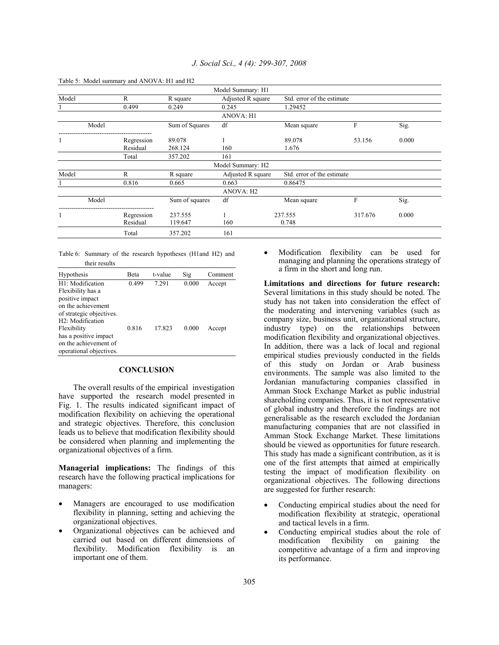| Table 5: Model summary and ANOVA: HI and H2 |            |                |                       |                            |         |       |
|---------------------------------------------|------------|----------------|-----------------------|----------------------------|---------|-------|
|                                             |            |                | Model Summary: H1     |                            |         |       |
| Model                                       | R          | R square       | Adjusted R square     | Std. error of the estimate |         |       |
|                                             | 0.499      | 0.249          | 0.245                 | 1.29452                    |         |       |
|                                             |            |                | <b>ANOVA: H1</b>      |                            |         |       |
| Model                                       |            | Sum of Squares | df                    | Mean square                | F       | Sig.  |
|                                             | Regression | 89.078         |                       | 89.078                     | 53.156  | 0.000 |
|                                             | Residual   | 268.124        | 160                   | 1.676                      |         |       |
|                                             | Total      | 357.202        | 161                   |                            |         |       |
|                                             |            |                | Model Summary: H2     |                            |         |       |
| Model                                       | R          | R square       | Adjusted R square     | Std. error of the estimate |         |       |
|                                             | 0.816      | 0.665          | 0.663                 | 0.86475                    |         |       |
|                                             |            |                | ANOVA: H <sub>2</sub> |                            |         |       |
| Model                                       |            | Sum of squares | df                    | Mean square                | F       | Sig.  |
| 1                                           | Regression | 237.555        |                       | 237.555                    | 317.676 | 0.000 |
|                                             | Residual   | 119.647        | 160                   | 0.748                      |         |       |
|                                             | Total      | 357.202        | 161                   |                            |         |       |
|                                             |            |                |                       |                            |         |       |

## *J. Social Sci., 4 (4): 299-307, 2008*

Table 5: Model summary and ANOVA: H1 and H2

Table 6: Summary of the research hypotheses (H1and H2) and their results

| Hypothesis                                                                                                                | <b>Beta</b> | t-value | Sig   | Comment |
|---------------------------------------------------------------------------------------------------------------------------|-------------|---------|-------|---------|
| H1: Modification<br>Flexibility has a<br>positive impact<br>on the achievement<br>of strategic objectives.                | 0.499       | 7.291   | 0.000 | Accept  |
| H <sub>2</sub> : Modification<br>Flexibility<br>has a positive impact<br>on the achievement of<br>operational objectives. | 0.816       | 17.823  | 0.000 | Accept  |

# **CONCLUSION**

 The overall results of the empirical investigation have supported the research model presented in Fig. 1. The results indicated significant impact of modification flexibility on achieving the operational and strategic objectives. Therefore, this conclusion leads us to believe that modification flexibility should be considered when planning and implementing the organizational objectives of a firm.

**Managerial implications:** The findings of this research have the following practical implications for managers:

- Managers are encouraged to use modification flexibility in planning, setting and achieving the organizational objectives.
- Organizational objectives can be achieved and carried out based on different dimensions of flexibility. Modification flexibility is an important one of them.

• Modification flexibility can be used for managing and planning the operations strategy of a firm in the short and long run.

**Limitations and directions for future research:**  Several limitations in this study should be noted. The study has not taken into consideration the effect of the moderating and intervening variables (such as company size, business unit, organizational structure, industry type) on the relationships between modification flexibility and organizational objectives. In addition, there was a lack of local and regional empirical studies previously conducted in the fields of this study on Jordan or Arab business environments. The sample was also limited to the Jordanian manufacturing companies classified in Amman Stock Exchange Market as public industrial shareholding companies. Thus, it is not representative of global industry and therefore the findings are not generalisable as the research excluded the Jordanian manufacturing companies that are not classified in Amman Stock Exchange Market. These limitations should be viewed as opportunities for future research. This study has made a significant contribution, as it is one of the first attempts that aimed at empirically testing the impact of modification flexibility on organizational objectives. The following directions are suggested for further research:

- Conducting empirical studies about the need for modification flexibility at strategic, operational and tactical levels in a firm.
- Conducting empirical studies about the role of modification flexibility on gaining the competitive advantage of a firm and improving its performance.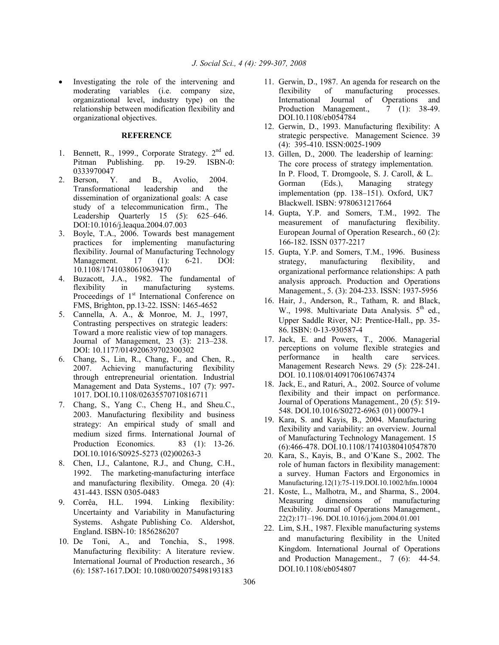Investigating the role of the intervening and moderating variables (i.e. company size, organizational level, industry type) on the relationship between modification flexibility and organizational objectives.

# **REFERENCE**

- 1. Bennett, R., 1999., Corporate Strategy.  $2<sup>nd</sup>$  ed. Pitman Publishing. pp. 19-29. ISBN-0: 0333970047
- 2. Berson, Y. and B., Avolio, 2004. Transformational leadership and the dissemination of organizational goals: A case study of a telecommunication firm., The Leadership Quarterly 15 (5): 625–646. DOI:10.1016/j.leaqua.2004.07.003
- 3. Boyle, T.A., 2006. Towards best management practices for implementing manufacturing flexibility. Journal of Manufacturing Technology Management. 17 (1): 6-21. DOI: 10.1108/17410380610639470
- 4. Buzacott, J.A., 1982. The fundamental of flexibility in manufacturing systems. Proceedings of  $1<sup>st</sup>$  International Conference on FMS, Brighton, pp.13-22. ISSN: 1465-4652
- 5. Cannella, A. A., & Monroe, M. J., 1997, Contrasting perspectives on strategic leaders: Toward a more realistic view of top managers. Journal of Management, 23 (3): 213–238. DOI: 10.1177/014920639702300302
- 6. Chang, S., Lin, R., Chang, F., and Chen, R., 2007. Achieving manufacturing flexibility through entrepreneurial orientation. Industrial Management and Data Systems., 107 (7): 997- 1017. DOI.10.1108/02635570710816711
- 7. Chang, S., Yang C., Cheng H., and Sheu.C., 2003. Manufacturing flexibility and business strategy: An empirical study of small and medium sized firms. International Journal of Production Economics. 83 (1): 13-26. DOI.10.1016/S0925-5273 (02)00263-3
- 8. Chen, I.J., Calantone, R.J., and Chung, C.H., 1992. The marketing-manufacturing interface and manufacturing flexibility. Omega. 20 (4): 431-443. ISSN 0305-0483
- 9. Corrêa, H.L. 1994. Linking flexibility: Uncertainty and Variability in Manufacturing Systems. Ashgate Publishing Co. Aldershot, England. ISBN-10: 1856286207
- 10. De Toni, A., and Tonchia, S., 1998. Manufacturing flexibility: A literature review. International Journal of Production research., 36 (6): 1587-1617.DOI: 10.1080/002075498193183
- 11. Gerwin, D., 1987. An agenda for research on the flexibility of manufacturing processes. International Journal of Operations and Production Management.,  $\overline{7}$  (1): 38-49. DOI.10.1108/eb054784
- 12. Gerwin, D., 1993. Manufacturing flexibility: A strategic perspective. Management Science. 39 (4): 395-410. ISSN:0025-1909
- 13. Gillen, D., 2000. The leadership of learning: The core process of strategy implementation. In P. Flood, T. Dromgoole, S. J. Caroll, & L. Gorman (Eds.), Managing strategy implementation (pp. 138–151). Oxford, UK7 Blackwell. ISBN: 9780631217664
- 14. Gupta, Y.P. and Somers, T.M., 1992. The measurement of manufacturing flexibility. European Journal of Operation Research., 60 (2): 166-182. ISSN 0377-2217
- 15. Gupta, Y.P. and Somers, T.M., 1996. Business strategy, manufacturing flexibility, and organizational performance relationships: A path analysis approach. Production and Operations Management., 5. (3): 204-233. ISSN: 1937-5956
- 16. Hair, J., Anderson, R., Tatham, R. and Black, W., 1998. Multivariate Data Analysis.  $5<sup>th</sup>$  ed., Upper Saddle River, NJ: Prentice-Hall., pp. 35- 86. ISBN: 0-13-930587-4
- 17. Jack, E. and Powers, T., 2006. Managerial perceptions on volume flexible strategies and performance in health care services. Management Research News. 29 (5): 228-241. DOI. 10.1108/01409170610674374
- 18. Jack, E., and Raturi, A., 2002. Source of volume flexibility and their impact on performance. Journal of Operations Management., 20 (5): 519- 548. DOI.10.1016/S0272-6963 (01) 00079-1
- 19. Kara, S. and Kayis, B., 2004. Manufacturing flexibility and variability: an overview. Journal of Manufacturing Technology Management. 15 (6):466-478. DOI.10.1108/17410380410547870
- 20. Kara, S., Kayis, B., and O'Kane S., 2002. The role of human factors in flexibility management: a survey. Human Factors and Ergonomics in Manufacturing.12(1):75-119.DOI.10.1002/hfm.10004
- 21. Koste, L., Malhotra, M., and Sharma, S., 2004. Measuring dimensions of manufacturing flexibility. Journal of Operations Management., 22(2):171–196. DOI.10.1016/j.jom.2004.01.001
- 22. Lim, S.H., 1987. Flexible manufacturing systems and manufacturing flexibility in the United Kingdom. International Journal of Operations and Production Management., 7 (6): 44-54. DOI.10.1108/eb054807